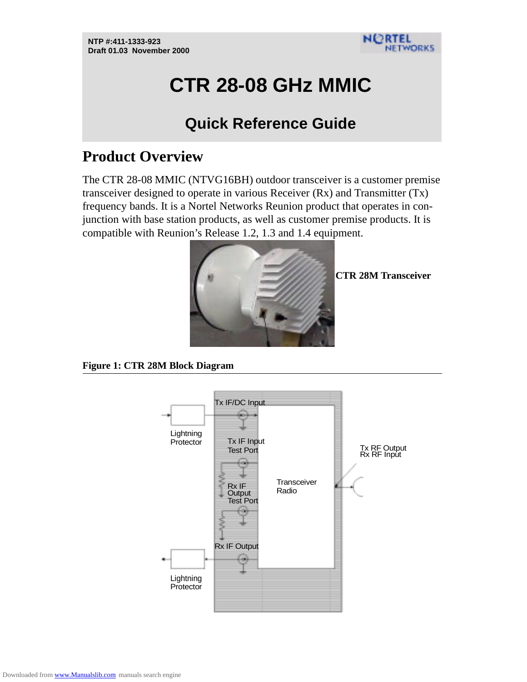

# **CTR 28-08 GHz MMIC**

# **Quick Reference Guide**

# **Product Overview**

The CTR 28-08 MMIC (NTVG16BH) outdoor transceiver is a customer premise transceiver designed to operate in various Receiver (Rx) and Transmitter (Tx) frequency bands. It is a Nortel Networks Reunion product that operates in conjunction with base station products, as well as customer premise products. It is compatible with Reunion's Release 1.2, 1.3 and 1.4 equipment.



**CTR 28M Transceiver**

#### **Figure 1: CTR 28M Block Diagram**

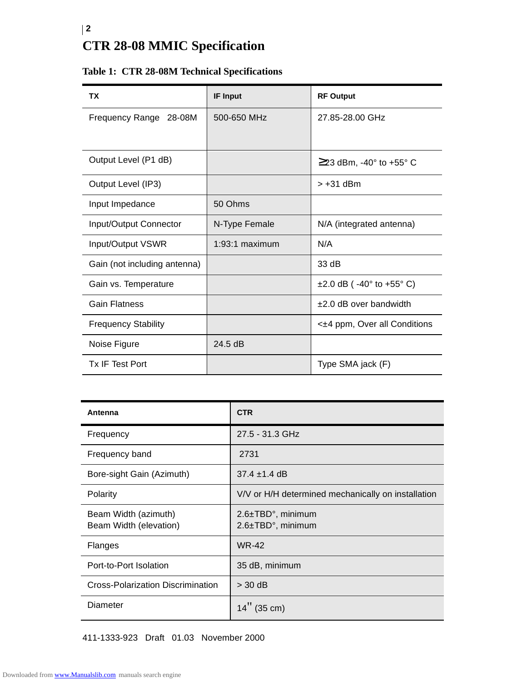## **2 CTR 28-08 MMIC Specification**

|  |  |  |  | Table 1: CTR 28-08M Technical Specifications |
|--|--|--|--|----------------------------------------------|
|--|--|--|--|----------------------------------------------|

| ТX                           | <b>IF Input</b> | <b>RF Output</b>                                 |
|------------------------------|-----------------|--------------------------------------------------|
| Frequency Range 28-08M       | 500-650 MHz     | 27.85-28.00 GHz                                  |
|                              |                 |                                                  |
| Output Level (P1 dB)         |                 | $\geq$ 23 dBm, -40 $\degree$ to +55 $\degree$ C  |
| Output Level (IP3)           |                 | > +31 dBm                                        |
| Input Impedance              | 50 Ohms         |                                                  |
| Input/Output Connector       | N-Type Female   | N/A (integrated antenna)                         |
| Input/Output VSWR            | 1:93:1 maximum  | N/A                                              |
| Gain (not including antenna) |                 | 33 dB                                            |
| Gain vs. Temperature         |                 | $\pm 2.0$ dB ( $-40^{\circ}$ to $+55^{\circ}$ C) |
| <b>Gain Flatness</b>         |                 | ±2.0 dB over bandwidth                           |
| <b>Frequency Stability</b>   |                 | < $±4$ ppm, Over all Conditions                  |
| Noise Figure                 | $24.5$ dB       |                                                  |
| <b>Tx IF Test Port</b>       |                 | Type SMA jack (F)                                |

| Antenna                                        | <b>CTR</b>                                         |
|------------------------------------------------|----------------------------------------------------|
| Frequency                                      | 27.5 - 31.3 GHz                                    |
| Frequency band                                 | 2731                                               |
| Bore-sight Gain (Azimuth)                      | $37.4 \pm 1.4 \text{ dB}$                          |
| Polarity                                       | V/V or H/H determined mechanically on installation |
| Beam Width (azimuth)<br>Beam Width (elevation) | $2.6 \pm TBD$ °, minimum<br>2.6±TBD°, minimum      |
| Flanges                                        | <b>WR-42</b>                                       |
| Port-to-Port Isolation                         | 35 dB, minimum                                     |
| Cross-Polarization Discrimination              | $>$ 30 dB                                          |
| <b>Diameter</b>                                | $14''$ (35 cm)                                     |

411-1333-923 Draft 01.03 November 2000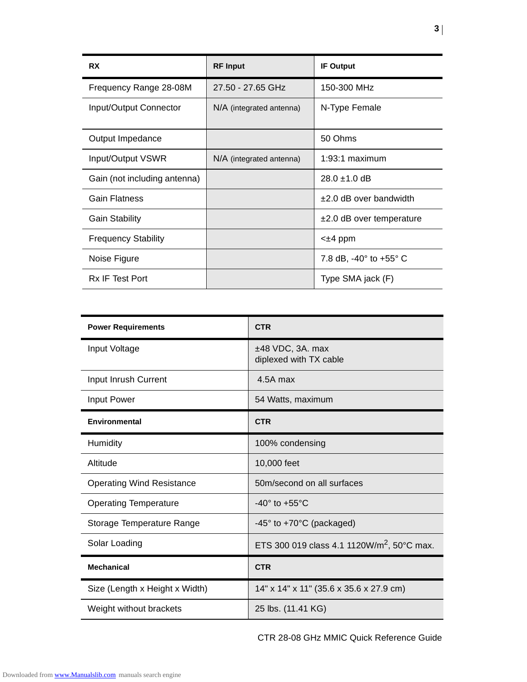| <b>RX</b>                    | <b>RF Input</b>          | <b>IF Output</b>                         |
|------------------------------|--------------------------|------------------------------------------|
| Frequency Range 28-08M       | 27.50 - 27.65 GHz        | 150-300 MHz                              |
| Input/Output Connector       | N/A (integrated antenna) | N-Type Female                            |
| Output Impedance             |                          | 50 Ohms                                  |
| Input/Output VSWR            | N/A (integrated antenna) | $1:93:1$ maximum                         |
| Gain (not including antenna) |                          | $28.0 \pm 1.0 \text{ dB}$                |
| <b>Gain Flatness</b>         |                          | $±2.0$ dB over bandwidth                 |
| <b>Gain Stability</b>        |                          | $\pm 2.0$ dB over temperature            |
| <b>Frequency Stability</b>   |                          | $<\pm 4$ ppm                             |
| Noise Figure                 |                          | 7.8 dB, $-40^{\circ}$ to $+55^{\circ}$ C |
| <b>Rx IF Test Port</b>       |                          | Type SMA jack (F)                        |

| <b>Power Requirements</b>        | <b>CTR</b>                                             |  |
|----------------------------------|--------------------------------------------------------|--|
| Input Voltage                    | ±48 VDC, 3A. max<br>diplexed with TX cable             |  |
| Input Inrush Current             | 4.5A max                                               |  |
| Input Power                      | 54 Watts, maximum                                      |  |
| Environmental                    | <b>CTR</b>                                             |  |
| Humidity                         | 100% condensing                                        |  |
| Altitude                         | 10,000 feet                                            |  |
| <b>Operating Wind Resistance</b> | 50m/second on all surfaces                             |  |
| <b>Operating Temperature</b>     | $-40^\circ$ to $+55^\circ$ C                           |  |
| Storage Temperature Range        | $-45^\circ$ to $+70^\circ$ C (packaged)                |  |
| Solar Loading                    | ETS 300 019 class 4.1 1120W/m <sup>2</sup> , 50°C max. |  |
| <b>Mechanical</b>                | <b>CTR</b>                                             |  |
| Size (Length x Height x Width)   | 14" x 14" x 11" (35.6 x 35.6 x 27.9 cm)                |  |
|                                  |                                                        |  |